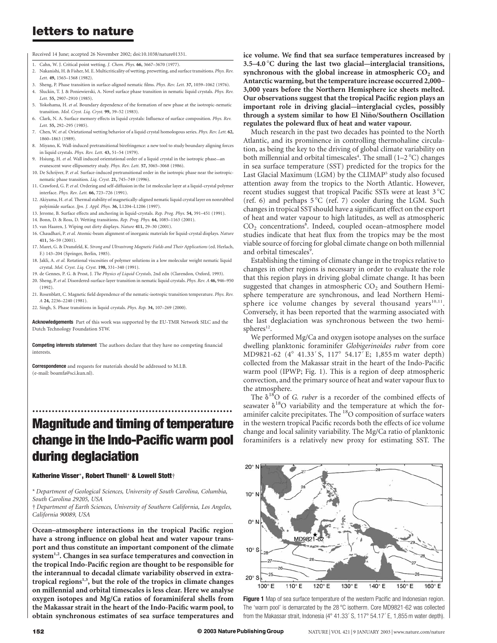# letters to nature

Received 14 June; accepted 26 November 2002; doi:10.1038/nature01331.

- 1. Cahn, W. J. Critical point wetting. J. Chem. Phys. 66, 3667–3670 (1977).
- 2. Nakanishi, H. & Fisher, M. E. Multicriticality of wetting, prewetting, and surface transitions. Phys. Rev. Lett. 49, 1565–1568 (1982).
- 3. Sheng, P. Phase transition in surface-aligned nematic films. Phys. Rev. Lett. 37, 1059–1062 (1976).
- 4. Sluckin, T. J. & Poniewierski, A. Novel surface phase transition in nematic liquid crystals. Phys. Rev. Lett. 55, 2907–2910 (1985).
- 5. Yokohama, H. et al. Boundary dependence of the formation of new phase at the isotropic-nematic transition. Mol. Cryst. Liq. Cryst. 99, 39–52 (1983).
- 6. Clark, N. A. Surface memory effects in liquid crystals: Influence of surface composition. Phys. Rev. Lett. 55, 292–295 (1985).
- 7. Chen, W. et al. Orietational wetting behavior of a liquid crystal homologous series. Phys. Rev. Lett. 62, 1860–1863 (1989).
- 8. Miyano, K. Wall-induced pretransitional birefringence: a new tool to study boundary aligning forces in liquid crystals. Phys. Rev. Lett. 43, 51–54 (1979).
- 9. Hsiung, H. et al. Wall induced orientational order of a liquid crystal in the isotropic phase—an evanescent wave ellipsometry study. Phys. Rev. Lett. 57, 3065–3068 (1986).
- 10. De Schrijver, P. et al. Surface-induced pretransitional order in the isotropic phase near the isotropicnematic phase transition. Liq. Cryst. 21, 745–749 (1996).
- 11. Crawford, G. P. et al. Ordering and self-diffusion in the 1st molecular layer at a liquid-crystal polymer interface. Phys. Rev. Lett. 66, 723–726 (1991).
- 12. Akiyama, H. et al. Thermal stability of magnetically-aligned nematic liquid crystal layer on nonrubbed polyimide surface. Jpn. J. Appl. Phys. 36, L1204–L1206 (1997).
- 13. Jerome, B. Surface effects and anchoring in liquid-crystals. Rep. Prog. Phys. 54, 391–451 (1991).
- 14. Bonn, D. & Ross, D. Wetting transitions. Rep. Prog. Phys. 64, 1085–1163 (2001).
- 15. van Haaren, J. Wiping out dirty displays. Nature 411, 29–30 (2001).
- 16. Chaudhari, P. et al. Atomic-beam alignment of inorganic materials for liquid-crystal displays. Nature 411, 56–59 (2001).
- 17. Maret, G. & Dransfeld, K. Strong and Ultrastrong Magnetic Fields and Their Applications (ed. Herlach, F.) 143–204 (Springer, Berlin, 1985).
- 18. Jakli, A. et al. Rotational viscosities of polymer solutions in a low molecular weight nematic liquid crystal. Mol. Cryst. Liq. Cryst. 198, 331–340 (1991).
- 19. de Gennes, P. G. & Prost, J. The Physics of Liquid Crystals, 2nd edn (Clarendon, Oxford, 1993).
- 20. Sheng, P. et al. Disordered-surface-layer transition in nematic liquid crystals. Phys. Rev. A 46, 946-950 (1992).
- 21. Rosenblatt, C. Magnetic field dependence of the nematic-isotropic transition temperature. Phys. Rev. A 24, 2236–2240 (1981).
- 22. Singh, S. Phase transitions in liquid crystals. Phys. Rep. 34, 107–269 (2000).

Acknowledgements Part of this work was supported by the EU-TMR Network SILC and the Dutch Technology Foundation STW.

Competing interests statement The authors declare that they have no competing financial interests.

Correspondence and requests for materials should be addressed to M.I.B. (e-mail: boamfa@sci.kun.nl).

# .............................................................. Magnitude and timing of temperature change in the Indo-Pacific warm pool during deglaciation

### Katherine Visser\*, Robert Thunell\* & Lowell Stott†

\* Department of Geological Sciences, University of South Carolina, Columbia, South Carolina 29205, USA

† Department of Earth Sciences, University of Southern California, Los Angeles, California 90089, USA .............................................................................................................................................................................

Ocean–atmosphere interactions in the tropical Pacific region have a strong influence on global heat and water vapour transport and thus constitute an important component of the climate system<sup>1,2</sup>. Changes in sea surface temperatures and convection in the tropical Indo-Pacific region are thought to be responsible for the interannual to decadal climate variability observed in extratropical regions<sup>1,3</sup>, but the role of the tropics in climate changes on millennial and orbital timescales is less clear. Here we analyse oxygen isotopes and Mg/Ca ratios of foraminiferal shells from the Makassar strait in the heart of the Indo-Pacific warm pool, to obtain synchronous estimates of sea surface temperatures and

ice volume. We find that sea surface temperatures increased by  $3.5-4.0\degree$ C during the last two glacial—interglacial transitions, synchronous with the global increase in atmospheric  $CO<sub>2</sub>$  and Antarctic warming, but the temperature increase occurred 2,000– 3,000 years before the Northern Hemisphere ice sheets melted. Our observations suggest that the tropical Pacific region plays an important role in driving glacial—interglacial cycles, possibly through a system similar to how El Niño/Southern Oscillation regulates the poleward flux of heat and water vapour.

Much research in the past two decades has pointed to the North Atlantic, and its prominence in controlling thermohaline circulation, as being the key to the driving of global climate variability on both millennial and orbital timescales<sup>4</sup>. The small (1-2 °C) changes in sea surface temperature (SST) predicted for the tropics for the Last Glacial Maximum (LGM) by the CLIMAP<sup>5</sup> study also focused attention away from the tropics to the North Atlantic. However, recent studies suggest that tropical Pacific SSTs were at least  $3^{\circ}C$ (ref. 6) and perhaps  $5^{\circ}C$  (ref. 7) cooler during the LGM. Such changes in tropical SSTshould have a significant effect on the export of heat and water vapour to high latitudes, as well as atmospheric CO<sub>2</sub> concentrations<sup>8</sup>. Indeed, coupled ocean-atmosphere model studies indicate that heat flux from the tropics may be the most viable source of forcing for global climate change on both millennial and orbital timescales<sup>9</sup>.

Establishing the timing of climate change in the tropics relative to changes in other regions is necessary in order to evaluate the role that this region plays in driving global climate change. It has been suggested that changes in atmospheric  $CO<sub>2</sub>$  and Southern Hemisphere temperature are synchronous, and lead Northern Hemisphere ice volume changes by several thousand years<sup>10,11</sup>. Conversely, it has been reported that the warming associated with the last deglaciation was synchronous between the two hemispheres<sup>12</sup>.

We performed Mg/Ca and oxygen isotope analyses on the surface dwelling planktonic foraminifer Globigerinoides ruber from core MD9821-62 (4° 41.33′S, 117° 54.17<sup>7</sup> E; 1,855 m water depth) collected from the Makassar strait in the heart of the Indo-Pacific warm pool (IPWP; Fig. 1). This is a region of deep atmospheric convection, and the primary source of heat and water vapour flux to the atmosphere.

The  $\delta^{18}$ O of *G. ruber* is a recorder of the combined effects of seawater  $\delta^{18}O$  variability and the temperature at which the foraminifer calcite precipitates. The <sup>18</sup>O composition of surface waters in the western tropical Pacific records both the effects of ice volume change and local salinity variability. The Mg/Ca ratio of planktonic foraminifers is a relatively new proxy for estimating SST. The



Figure 1 Map of sea surface temperature of the western Pacific and Indonesian region. The 'warm pool' is demarcated by the 28  $^{\circ}$ C isotherm. Core MD9821-62 was collected from the Makassar strait, Indonesia ( $4^{\circ}$  41.33' S, 117° 54.17' E, 1,855 m water depth).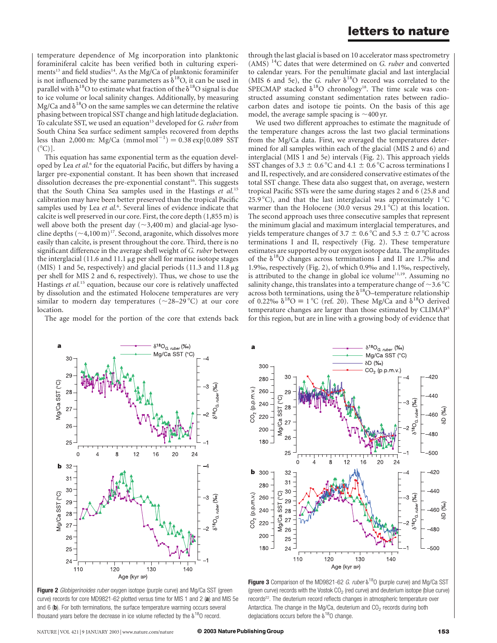temperature dependence of Mg incorporation into planktonic foraminiferal calcite has been verified both in culturing experiments<sup>13</sup> and field studies<sup>14</sup>. As the Mg/Ca of planktonic foraminifer is not influenced by the same parameters as  $\delta^{18}O$ , it can be used in parallel with  $\delta^{18}O$  to estimate what fraction of the  $\delta^{18}O$  signal is due to ice volume or local salinity changes. Additionally, by measuring Mg/Ca and  $\delta^{18}$ O on the same samples we can determine the relative phasing between tropical SST change and high latitude deglaciation. To calculate SST, we used an equation<sup>15</sup> developed for G. ruber from South China Sea surface sediment samples recovered from depths less than 2,000 m: Mg/Ca  $\text{(mmol mol)}^{-1}$ ) = 0.38 exp[0.089 SST  $({}^{\circ}C)$ ].

This equation has same exponential term as the equation developed by Lea et al.<sup>6</sup> for the equatorial Pacific, but differs by having a larger pre-exponential constant. It has been shown that increased dissolution decreases the pre-exponential constant<sup>16</sup>. This suggests that the South China Sea samples used in the Hastings et al.<sup>15</sup> calibration may have been better preserved than the tropical Pacific samples used by Lea et al.<sup>6</sup>. Several lines of evidence indicate that calcite is well preserved in our core. First, the core depth (1,855 m) is well above both the present day  $(\sim 3,400 \,\mathrm{m})$  and glacial-age lysocline depths  $({\sim}4,100 \,\text{m})^{17}$ . Second, aragonite, which dissolves more easily than calcite, is present throughout the core. Third, there is no significant difference in the average shell weight of G. ruber between the interglacial (11.6 and 11.1 µg per shell for marine isotope stages (MIS) 1 and 5e, respectively) and glacial periods (11.3 and 11.8  $\mu$ g per shell for MIS 2 and 6, respectively). Thus, we chose to use the Hastings et al.<sup>15</sup> equation, because our core is relatively unaffected by dissolution and the estimated Holocene temperatures are very similar to modern day temperatures ( $\sim$ 28–29 °C) at our core location.

The age model for the portion of the core that extends back

through the last glacial is based on 10 accelerator mass spectrometry  $(AMS)^{14}$ C dates that were determined on G. ruber and converted to calendar years. For the penultimate glacial and last interglacial (MIS 6 and 5e), the G. ruber  $\delta^{18}O$  record was correlated to the SPECMAP stacked  $\delta^{18}O$  chronology<sup>18</sup>. The time scale was constructed assuming constant sedimentation rates between radiocarbon dates and isotope tie points. On the basis of this age model, the average sample spacing is  $\sim$ 400 yr.

We used two different approaches to estimate the magnitude of the temperature changes across the last two glacial terminations from the Mg/Ca data. First, we averaged the temperatures determined for all samples within each of the glacial (MIS 2 and 6) and interglacial (MIS 1 and 5e) intervals (Fig. 2). This approach yields SST changes of 3.3  $\pm$  0.6 °C and 4.1  $\pm$  0.6 °C across terminations I and II, respectively, and are considered conservative estimates of the total SST change. These data also suggest that, on average, western tropical Pacific SSTs were the same during stages 2 and 6 (25.8 and 25.9 °C), and that the last interglacial was approximately  $1^{\circ}$ C warmer than the Holocene (30.0 versus  $29.1 \degree C$ ) at this location. The second approach uses three consecutive samples that represent the minimum glacial and maximum interglacial temperatures, and yields temperature changes of 3.7  $\pm$  0.6 °C and 5.3  $\pm$  0.7 °C across terminations I and II, respectively (Fig. 2). These temperature estimates are supported by our oxygen isotope data. The amplitudes of the  $\delta^{18}$ O changes across terminations I and II are 1.7‰ and 1.9‰, respectively (Fig. 2), of which 0.9‰ and 1.1‰, respectively, is attributed to the change in global ice volume<sup>11,19</sup>. Assuming no salinity change, this translates into a temperature change of  $\sim$ 3.6 °C across both terminations, using the  $\delta^{18}$ O–temperature relationship of 0.22‰  $\delta^{18}O \equiv 1^{\circ}C$  (ref. 20). These Mg/Ca and  $\delta^{18}O$  derived temperature changes are larger than those estimated by CLIMAP<sup>5</sup> for this region, but are in line with a growing body of evidence that



Figure 2 Globigerinoides ruber oxygen isotope (purple curve) and Mg/Ca SST (green curve) records for core MD9821-62 plotted versus time for MIS 1 and 2 (a) and MIS 5e and 6 (b). For both terminations, the surface temperature warming occurs several thousand years before the decrease in ice volume reflected by the  $\delta^{18}$ O record.



Figure 3 Comparison of the MD9821-62  $G.$  ruber  $\delta^{18}$ O (purple curve) and Mg/Ca SST (green curve) records with the Vostok  $CO<sub>2</sub>$  (red curve) and deuterium isotope (blue curve) records<sup>22</sup>. The deuterium record reflects changes in atmospheric temperature over Antarctica. The change in the Mg/Ca, deuterium and  $CO<sub>2</sub>$  records during both deglaciations occurs before the  $\delta^{18}$ O change.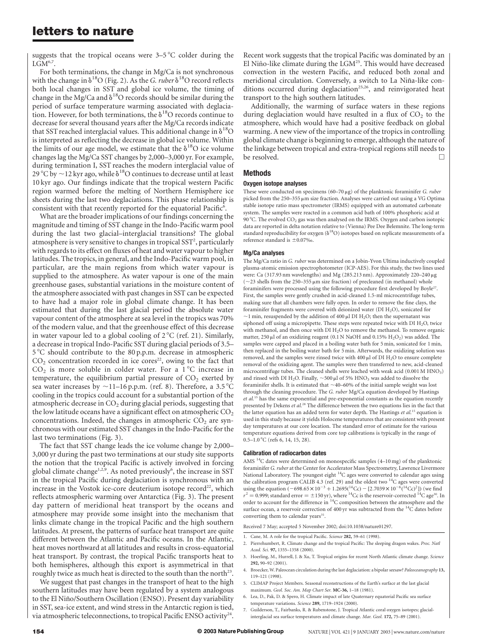# letters to nature

suggests that the tropical oceans were  $3-5$  °C colder during the  $LGM^{6,7}$ .

For both terminations, the change in Mg/Ca is not synchronous with the change in  $\delta^{18}O$  (Fig. 2). As the G. ruber  $\delta^{18}O$  record reflects both local changes in SST and global ice volume, the timing of change in the Mg/Ca and  $\delta^{18}O$  records should be similar during the period of surface temperature warming associated with deglaciation. However, for both terminations, the  $\delta^{18}O$  records continue to decrease for several thousand years after the Mg/Ca records indicate that SST reached interglacial values. This additional change in  $\delta^{18}O$ is interpreted as reflecting the decrease in global ice volume. Within the limits of our age model, we estimate that the  $\delta^{18}O$  ice volume changes lag the Mg/Ca SST changes by 2,000–3,000 yr. For example, during termination I, SST reaches the modern interglacial value of 29 °C by  $\sim$  12 kyr ago, while  $\delta$ <sup>18</sup>O continues to decrease until at least 10 kyr ago. Our findings indicate that the tropical western Pacific region warmed before the melting of Northern Hemisphere ice sheets during the last two deglaciations. This phase relationship is consistent with that recently reported for the equatorial Pacific<sup>6</sup>.

What are the broader implications of our findings concerning the magnitude and timing of SST change in the Indo-Pacific warm pool during the last two glacial–interglacial transitions? The global atmosphere is very sensitive to changes in tropical SST<sup>2</sup>, particularly with regards to its effect on fluxes of heat and water vapour to higher latitudes. The tropics, in general, and the Indo-Pacific warm pool, in particular, are the main regions from which water vapour is supplied to the atmosphere. As water vapour is one of the main greenhouse gases, substantial variations in the moisture content of the atmosphere associated with past changes in SST can be expected to have had a major role in global climate change. It has been estimated that during the last glacial period the absolute water vapour content of the atmosphere at sea level in the tropics was 70% of the modern value, and that the greenhouse effect of this decrease in water vapour led to a global cooling of  $2^{\circ}C$  (ref. 21). Similarly, a decrease in tropical Indo-Pacific SST during glacial periods of 3.5– 5 8C should contribute to the 80 p.p.m. decrease in atmospheric  $CO<sub>2</sub>$  concentration recorded in ice cores<sup>22</sup>, owing to the fact that  $CO<sub>2</sub>$  is more soluble in colder water. For a 1 °C increase in temperature, the equilibrium partial pressure of  $CO<sub>2</sub>$  exerted by sea water increases by  $\sim$ 11–16 p.p.m. (ref. 8). Therefore, a 3.5 °C cooling in the tropics could account for a substantial portion of the atmospheric decrease in  $CO<sub>2</sub>$  during glacial periods, suggesting that the low latitude oceans have a significant effect on atmospheric  $CO<sub>2</sub>$ concentrations. Indeed, the changes in atmospheric  $CO<sub>2</sub>$  are synchronous with our estimated SST changes in the Indo-Pacific for the last two terminations (Fig. 3).

The fact that SST change leads the ice volume change by 2,000– 3,000 yr during the past two terminations at our study site supports the notion that the tropical Pacific is actively involved in forcing global climate change<sup>1,2,9</sup>. As noted previously<sup>6</sup>, the increase in SST in the tropical Pacific during deglaciation is synchronous with an increase in the Vostok ice-core deuterium isotope record<sup>22</sup>, which reflects atmospheric warming over Antarctica (Fig. 3). The present day pattern of meridional heat transport by the oceans and atmosphere may provide some insight into the mechanism that links climate change in the tropical Pacific and the high southern latitudes. At present, the patterns of surface heat transport are quite different between the Atlantic and Pacific oceans. In the Atlantic, heat moves northward at all latitudes and results in cross-equatorial heat transport. By contrast, the tropical Pacific transports heat to both hemispheres, although this export is asymmetrical in that roughly twice as much heat is directed to the south than the north<sup>23</sup>.

We suggest that past changes in the transport of heat to the high southern latitudes may have been regulated by a system analogous to the El Niño/Southern Oscillation (ENSO). Present day variability in SST, sea-ice extent, and wind stress in the Antarctic region is tied, via atmospheric teleconnections, to tropical Pacific ENSO activity<sup>24</sup>. Recent work suggests that the tropical Pacific was dominated by an El Niño-like climate during the LGM<sup>25</sup>. This would have decreased convection in the western Pacific, and reduced both zonal and meridional circulation. Conversely, a switch to La Niña-like conditions occurred during deglaciation<sup>25,26</sup>, and reinvigorated heat transport to the high southern latitudes.

Additionally, the warming of surface waters in these regions during deglaciation would have resulted in a flux of  $CO<sub>2</sub>$  to the atmosphere, which would have had a positive feedback on global warming. A new view of the importance of the tropics in controlling global climate change is beginning to emerge, although the nature of the linkage between tropical and extra-tropical regions still needs to be resolved.

## **Methods**

#### Oxygen isotope analyses

These were conducted on specimens  $(60-70 \,\mu g)$  of the planktonic foraminifer G. ruber picked from the 250–355 µm size fraction. Analyses were carried out using a VG Optima stable isotope ratio mass spectrometer (IRMS) equipped with an automated carbonate system. The samples were reacted in a common acid bath of 100% phosphoric acid at 90 °C. The evolved  $CO_2$  gas was then analysed on the IRMS. Oxygen and carbon isotopic data are reported in delta notation relative to (Vienna) Pee Dee Belemnite. The long-term standard reproducibility for oxygen ( $\delta^{18}O$ ) isotopes based on replicate measurements of a reference standard is  $\pm 0.07\%$ .

## Mg/Ca analyses

The Mg/Ca ratio in G. ruber was determined on a Jobin-Yvon Ultima inductively coupled plasma-atomic emission spectrophotometer (ICP-AES). For this study, the two lines used were: Ca (317.93 nm wavelengths) and Mg (285.213 nm). Approximately 220–240 <sup>m</sup>g ( $\sim$ 23 shells from the 250–355  $\upmu$ m size fraction) of precleaned (in methanol) whole foraminifers were processed using the following procedure first developed by Boyle<sup>27</sup>. First, the samples were gently crushed in acid-cleaned 1.5-ml microcentrifuge tubes, making sure that all chambers were fully open. In order to remove the fine clays, the foraminifer fragments were covered with deionized water ( $DI H<sub>2</sub>O$ ), sonicated for  $\sim$ 1 min, resuspended by the addition of 400  $\mu$ l DI H<sub>2</sub>O; then the supernatant was siphoned off using a micropipette. These steps were repeated twice with DI  $H_2O$ , twice with methanol, and then once with DI  $H_2O$  to remove the methanol. To remove organic matter, 250  $\mu$ l of an oxidizing reagent (0.1 N NaOH and 0.15% H<sub>2</sub>O<sub>2</sub>) was added. The samples were capped and placed in a boiling water bath for 5 min, sonicated for 1 min, then replaced in the boiling water bath for 5 min. Afterwards, the oxidizing solution was removed, and the samples were rinsed twice with  $400 \mu$ l of DI  $H<sub>2</sub>O$  to ensure complete removal of the oxidizing agent. The samples were then transferred to new, acid-cleaned microcentrifuge tubes. The cleaned shells were leached with weak acid  $(0.001 M HNO<sub>3</sub>)$ and rinsed with DI H<sub>2</sub>O. Finally,  ${\sim}500\,\rm \mu l$  of 5% HNO<sub>3</sub> was added to dissolve the foraminifer shells. It is estimated that  $\sim$  40–60% of the initial sample weight was lost through the cleaning procedure. The G. ruber Mg/Ca equation developed by Hastings et al.<sup>15</sup> has the same exponential and pre-exponential constants as the equation recently presented by Dekens et al.<sup>28</sup> The difference between the two equations lies in the fact that the latter equation has an added term for water depth. The Hastings et al.<sup>15</sup> equation is used in this study because it yields Holocene temperatures that are consistent with present day temperatures at our core location. The standard error of estimate for the various temperature equations derived from core top calibrations is typically in the range of  $0.5-1.0$  °C (refs 6, 14, 15, 28).

#### Calibration of radiocarbon dates

AMS<sup>14</sup>C dates were determined on monospecific samples (4–10 mg) of the planktonic foraminifer G. ruber at the Center for Accelerator Mass Spectrometry, Lawrence Livermore National Laboratory. The youngest eight <sup>14</sup>C ages were converted to calendar ages using the calibration program CALIB 4.3 (ref. 29) and the oldest two <sup>14</sup>C ages were converted using the equation  $(-698.65 \times 10^{-3} + 1.2695(^{14}Cc) - [2.7039 \times 10^{-6} (^{14}Cc)^2])$  (we find  $r^2 = 0.999$ ; standard error =  $\pm 150$  yr), where <sup>14</sup>Cc is the reservoir-corrected <sup>14</sup>C age<sup>30</sup>. In order to account for the difference in 14C composition between the atmosphere and the surface ocean, a reservoir correction of 400 yr was subtracted from the  $^{14}C$  dates before converting them to calendar years<sup>31</sup>.

Received 7 May; accepted 5 November 2002; doi:10.1038/nature01297.

- 1. Cane, M. A role for the tropical Pacific. Science 282, 59–61 (1998).
- 2. Pierrehumbert, R. Climate change and the tropical Pacific: The sleeping dragon wakes. Proc. Natl Acad. Sci. 97, 1355–1358 (2000).
- 3. Hoerling, M., Hurrell, J. & Xu, T. Tropical origins for recent North Atlantic climate change. Science 292, 90–92 (2001).
- 4. Broecker, W. Paleocean circulation during the last deglaciation: a bipolar seesaw? Paleoceanography 13, 119–121 (1998).
- 5. CLIMAP Project Members. Seasonal reconstructions of the Earth's surface at the last glacial maximum. Geol. Soc. Am. Map Chart Ser. MC-36, 1–18 (1981).
- 6. Lea, D., Pak, D. & Spero, H. Climate impact of late Quaternary equatorial Pacific sea surface temperature variations. Science 289, 1719–1924 (2000).
- 7. Guilderson, T., Fairbanks, R. & Rubenstone, J. Tropical Atlantic coral oxygen isotopes; glacialinterglacial sea surface temperatures and climate change. Mar. Geol. 172, 75–89 (2001).